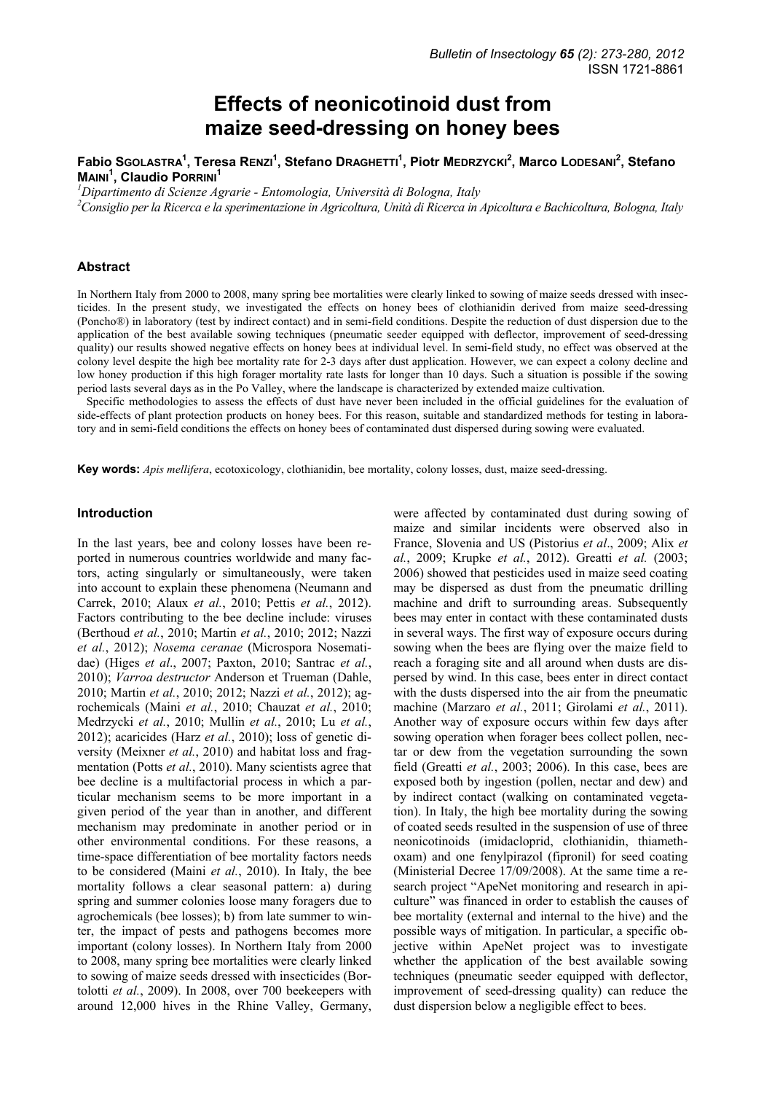# **Effects of neonicotinoid dust from maize seed-dressing on honey bees**

# **Fabio SGOLASTRA1 , Teresa RENZI<sup>1</sup> , Stefano DRAGHETTI<sup>1</sup> , Piotr MEDRZYCKI2 , Marco LODESANI<sup>2</sup> , Stefano MAINI<sup>1</sup> , Claudio PORRINI<sup>1</sup>**

*1 Dipartimento di Scienze Agrarie - Entomologia, Università di Bologna, Italy* 

*2 Consiglio per la Ricerca e la sperimentazione in Agricoltura, Unità di Ricerca in Apicoltura e Bachicoltura, Bologna, Italy* 

## **Abstract**

In Northern Italy from 2000 to 2008, many spring bee mortalities were clearly linked to sowing of maize seeds dressed with insecticides. In the present study, we investigated the effects on honey bees of clothianidin derived from maize seed-dressing (Poncho®) in laboratory (test by indirect contact) and in semi-field conditions. Despite the reduction of dust dispersion due to the application of the best available sowing techniques (pneumatic seeder equipped with deflector, improvement of seed-dressing quality) our results showed negative effects on honey bees at individual level. In semi-field study, no effect was observed at the colony level despite the high bee mortality rate for 2-3 days after dust application. However, we can expect a colony decline and low honey production if this high forager mortality rate lasts for longer than 10 days. Such a situation is possible if the sowing period lasts several days as in the Po Valley, where the landscape is characterized by extended maize cultivation.

Specific methodologies to assess the effects of dust have never been included in the official guidelines for the evaluation of side-effects of plant protection products on honey bees. For this reason, suitable and standardized methods for testing in laboratory and in semi-field conditions the effects on honey bees of contaminated dust dispersed during sowing were evaluated.

**Key words:** *Apis mellifera*, ecotoxicology, clothianidin, bee mortality, colony losses, dust, maize seed-dressing.

#### **Introduction**

In the last years, bee and colony losses have been reported in numerous countries worldwide and many factors, acting singularly or simultaneously, were taken into account to explain these phenomena (Neumann and Carrek, 2010; Alaux *et al.*, 2010; Pettis *et al.*, 2012). Factors contributing to the bee decline include: viruses (Berthoud *et al.*, 2010; Martin *et al.*, 2010; 2012; Nazzi *et al.*, 2012); *Nosema ceranae* (Microspora Nosematidae) (Higes *et al*., 2007; Paxton, 2010; Santrac *et al.*, 2010); *Varroa destructor* Anderson et Trueman (Dahle, 2010; Martin *et al.*, 2010; 2012; Nazzi *et al.*, 2012); agrochemicals (Maini *et al.*, 2010; Chauzat *et al.*, 2010; Medrzycki *et al.*, 2010; Mullin *et al.*, 2010; Lu *et al.*, 2012); acaricides (Harz *et al.*, 2010); loss of genetic diversity (Meixner *et al.*, 2010) and habitat loss and fragmentation (Potts *et al.*, 2010). Many scientists agree that bee decline is a multifactorial process in which a particular mechanism seems to be more important in a given period of the year than in another, and different mechanism may predominate in another period or in other environmental conditions. For these reasons, a time-space differentiation of bee mortality factors needs to be considered (Maini *et al.*, 2010). In Italy, the bee mortality follows a clear seasonal pattern: a) during spring and summer colonies loose many foragers due to agrochemicals (bee losses); b) from late summer to winter, the impact of pests and pathogens becomes more important (colony losses). In Northern Italy from 2000 to 2008, many spring bee mortalities were clearly linked to sowing of maize seeds dressed with insecticides (Bortolotti *et al.*, 2009). In 2008, over 700 beekeepers with around 12,000 hives in the Rhine Valley, Germany,

were affected by contaminated dust during sowing of maize and similar incidents were observed also in France, Slovenia and US (Pistorius *et al*., 2009; Alix *et al.*, 2009; Krupke *et al.*, 2012). Greatti *et al.* (2003; 2006) showed that pesticides used in maize seed coating may be dispersed as dust from the pneumatic drilling machine and drift to surrounding areas. Subsequently bees may enter in contact with these contaminated dusts in several ways. The first way of exposure occurs during sowing when the bees are flying over the maize field to reach a foraging site and all around when dusts are dispersed by wind. In this case, bees enter in direct contact with the dusts dispersed into the air from the pneumatic machine (Marzaro *et al.*, 2011; Girolami *et al.*, 2011). Another way of exposure occurs within few days after sowing operation when forager bees collect pollen, nectar or dew from the vegetation surrounding the sown field (Greatti *et al.*, 2003; 2006). In this case, bees are exposed both by ingestion (pollen, nectar and dew) and by indirect contact (walking on contaminated vegetation). In Italy, the high bee mortality during the sowing of coated seeds resulted in the suspension of use of three neonicotinoids (imidacloprid, clothianidin, thiamethoxam) and one fenylpirazol (fipronil) for seed coating (Ministerial Decree 17/09/2008). At the same time a research project "ApeNet monitoring and research in apiculture" was financed in order to establish the causes of bee mortality (external and internal to the hive) and the possible ways of mitigation. In particular, a specific objective within ApeNet project was to investigate whether the application of the best available sowing techniques (pneumatic seeder equipped with deflector, improvement of seed-dressing quality) can reduce the dust dispersion below a negligible effect to bees.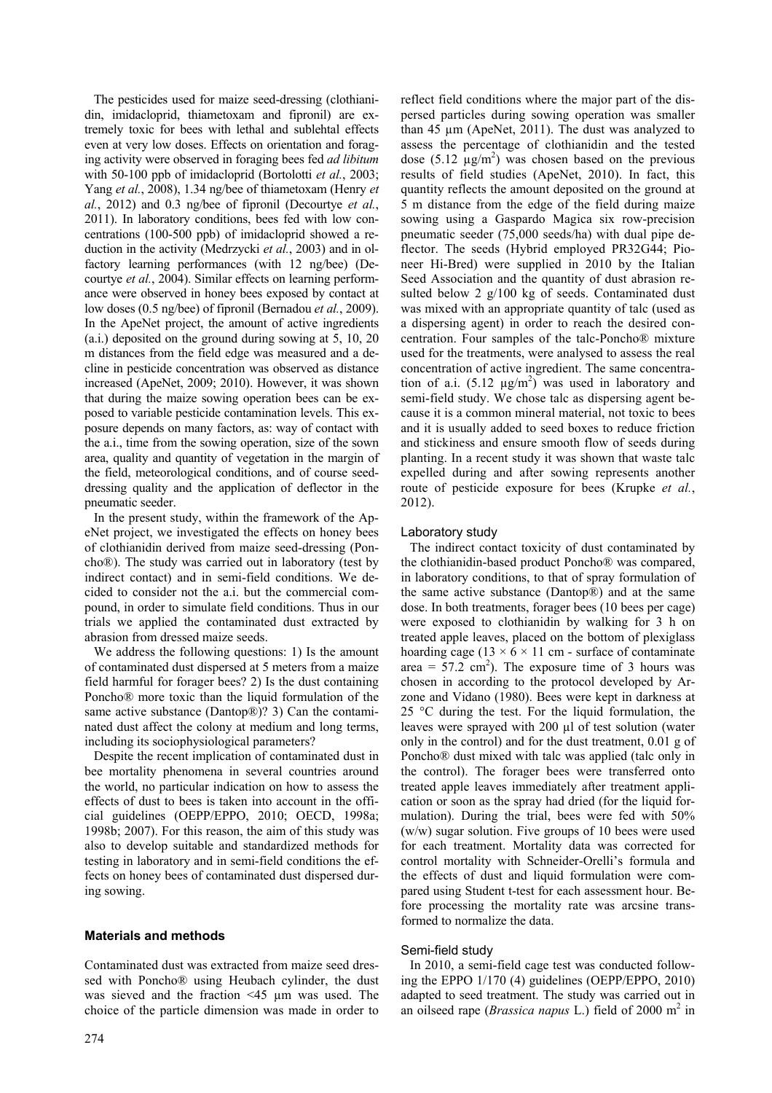The pesticides used for maize seed-dressing (clothianidin, imidacloprid, thiametoxam and fipronil) are extremely toxic for bees with lethal and sublehtal effects even at very low doses. Effects on orientation and foraging activity were observed in foraging bees fed *ad libitum* with 50-100 ppb of imidacloprid (Bortolotti *et al.*, 2003; Yang *et al.*, 2008), 1.34 ng/bee of thiametoxam (Henry *et al.*, 2012) and 0.3 ng/bee of fipronil (Decourtye *et al.*, 2011). In laboratory conditions, bees fed with low concentrations (100-500 ppb) of imidacloprid showed a reduction in the activity (Medrzycki *et al.*, 2003) and in olfactory learning performances (with 12 ng/bee) (Decourtye *et al.*, 2004). Similar effects on learning performance were observed in honey bees exposed by contact at low doses (0.5 ng/bee) of fipronil (Bernadou *et al.*, 2009). In the ApeNet project, the amount of active ingredients (a.i.) deposited on the ground during sowing at 5, 10, 20 m distances from the field edge was measured and a decline in pesticide concentration was observed as distance increased (ApeNet, 2009; 2010). However, it was shown that during the maize sowing operation bees can be exposed to variable pesticide contamination levels. This exposure depends on many factors, as: way of contact with the a.i., time from the sowing operation, size of the sown area, quality and quantity of vegetation in the margin of the field, meteorological conditions, and of course seeddressing quality and the application of deflector in the pneumatic seeder.

In the present study, within the framework of the ApeNet project, we investigated the effects on honey bees of clothianidin derived from maize seed-dressing (Poncho®). The study was carried out in laboratory (test by indirect contact) and in semi-field conditions. We decided to consider not the a.i. but the commercial compound, in order to simulate field conditions. Thus in our trials we applied the contaminated dust extracted by abrasion from dressed maize seeds.

We address the following questions: 1) Is the amount of contaminated dust dispersed at 5 meters from a maize field harmful for forager bees? 2) Is the dust containing Poncho® more toxic than the liquid formulation of the same active substance (Dantop®)? 3) Can the contaminated dust affect the colony at medium and long terms, including its sociophysiological parameters?

Despite the recent implication of contaminated dust in bee mortality phenomena in several countries around the world, no particular indication on how to assess the effects of dust to bees is taken into account in the official guidelines (OEPP/EPPO, 2010; OECD, 1998a; 1998b; 2007). For this reason, the aim of this study was also to develop suitable and standardized methods for testing in laboratory and in semi-field conditions the effects on honey bees of contaminated dust dispersed during sowing.

## **Materials and methods**

Contaminated dust was extracted from maize seed dressed with Poncho® using Heubach cylinder, the dust was sieved and the fraction <45 µm was used. The choice of the particle dimension was made in order to reflect field conditions where the major part of the dispersed particles during sowing operation was smaller than 45 µm (ApeNet, 2011). The dust was analyzed to assess the percentage of clothianidin and the tested dose  $(5.12 \text{ µg/m}^2)$  was chosen based on the previous results of field studies (ApeNet, 2010). In fact, this quantity reflects the amount deposited on the ground at 5 m distance from the edge of the field during maize sowing using a Gaspardo Magica six row-precision pneumatic seeder (75,000 seeds/ha) with dual pipe deflector. The seeds (Hybrid employed PR32G44; Pioneer Hi-Bred) were supplied in 2010 by the Italian Seed Association and the quantity of dust abrasion resulted below 2 g/100 kg of seeds. Contaminated dust was mixed with an appropriate quantity of talc (used as a dispersing agent) in order to reach the desired concentration. Four samples of the talc-Poncho® mixture used for the treatments, were analysed to assess the real concentration of active ingredient. The same concentration of a.i.  $(5.12 \mu g/m^2)$  was used in laboratory and semi-field study. We chose talc as dispersing agent because it is a common mineral material, not toxic to bees and it is usually added to seed boxes to reduce friction and stickiness and ensure smooth flow of seeds during planting. In a recent study it was shown that waste talc expelled during and after sowing represents another route of pesticide exposure for bees (Krupke *et al.*, 2012).

## Laboratory study

The indirect contact toxicity of dust contaminated by the clothianidin-based product Poncho® was compared, in laboratory conditions, to that of spray formulation of the same active substance (Dantop®) and at the same dose. In both treatments, forager bees (10 bees per cage) were exposed to clothianidin by walking for 3 h on treated apple leaves, placed on the bottom of plexiglass hoarding cage ( $13 \times 6 \times 11$  cm - surface of contaminate area =  $57.2 \text{ cm}^2$ ). The exposure time of 3 hours was chosen in according to the protocol developed by Arzone and Vidano (1980). Bees were kept in darkness at 25 °C during the test. For the liquid formulation, the leaves were sprayed with 200 µl of test solution (water only in the control) and for the dust treatment, 0.01 g of Poncho® dust mixed with talc was applied (talc only in the control). The forager bees were transferred onto treated apple leaves immediately after treatment application or soon as the spray had dried (for the liquid formulation). During the trial, bees were fed with 50% (w/w) sugar solution. Five groups of 10 bees were used for each treatment. Mortality data was corrected for control mortality with Schneider-Orelli's formula and the effects of dust and liquid formulation were compared using Student t-test for each assessment hour. Before processing the mortality rate was arcsine transformed to normalize the data.

#### Semi-field study

In 2010, a semi-field cage test was conducted following the EPPO 1/170 (4) guidelines (OEPP/EPPO, 2010) adapted to seed treatment. The study was carried out in an oilseed rape (*Brassica napus* L.) field of 2000 m<sup>2</sup> in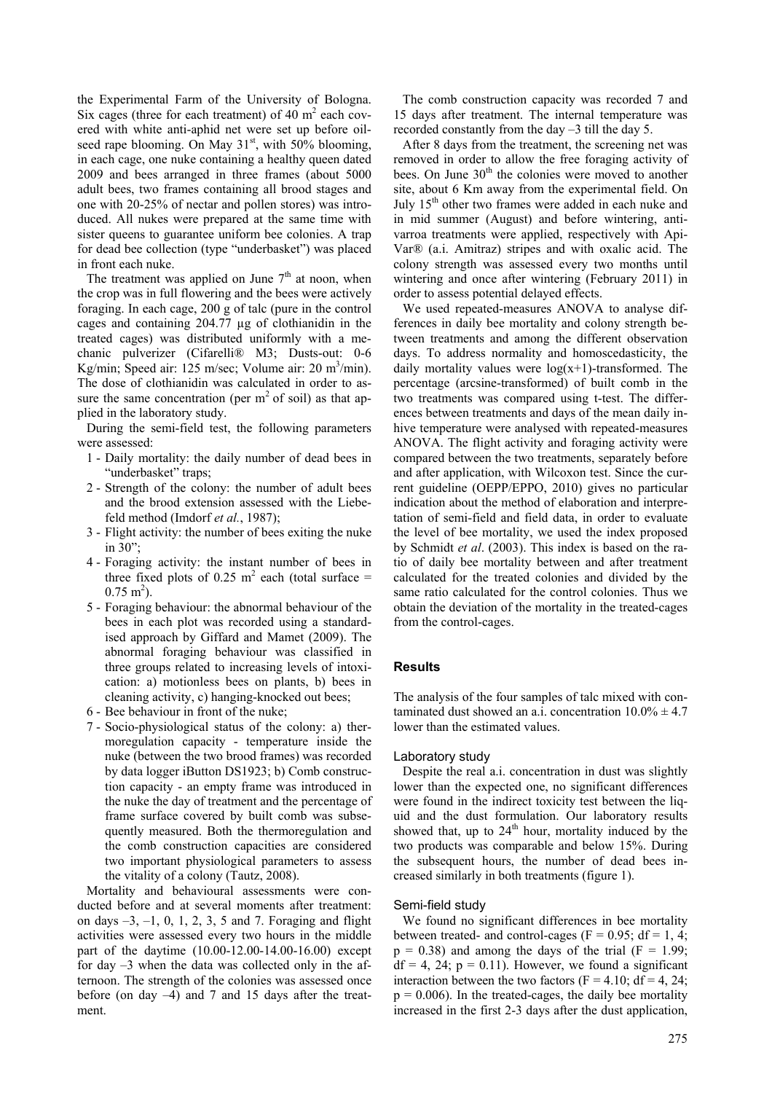the Experimental Farm of the University of Bologna. Six cages (three for each treatment) of  $40 \text{ m}^2$  each covered with white anti-aphid net were set up before oilseed rape blooming. On May 31<sup>st</sup>, with 50% blooming, in each cage, one nuke containing a healthy queen dated 2009 and bees arranged in three frames (about 5000 adult bees, two frames containing all brood stages and one with 20-25% of nectar and pollen stores) was introduced. All nukes were prepared at the same time with sister queens to guarantee uniform bee colonies. A trap for dead bee collection (type "underbasket") was placed in front each nuke.

The treatment was applied on June  $7<sup>th</sup>$  at noon, when the crop was in full flowering and the bees were actively foraging. In each cage, 200 g of talc (pure in the control cages and containing 204.77 µg of clothianidin in the treated cages) was distributed uniformly with a mechanic pulverizer (Cifarelli® M3; Dusts-out: 0-6 Kg/min; Speed air: 125 m/sec; Volume air: 20 m<sup>3</sup>/min). The dose of clothianidin was calculated in order to assure the same concentration (per  $m<sup>2</sup>$  of soil) as that applied in the laboratory study.

During the semi-field test, the following parameters were assessed:

- 1 Daily mortality: the daily number of dead bees in "underbasket" traps;
- 2 Strength of the colony: the number of adult bees and the brood extension assessed with the Liebefeld method (Imdorf *et al.*, 1987);
- 3 Flight activity: the number of bees exiting the nuke in 30";
- 4 Foraging activity: the instant number of bees in three fixed plots of 0.25  $m^2$  each (total surface =  $0.75 \text{ m}^2$ ).
- 5 Foraging behaviour: the abnormal behaviour of the bees in each plot was recorded using a standardised approach by Giffard and Mamet (2009). The abnormal foraging behaviour was classified in three groups related to increasing levels of intoxication: a) motionless bees on plants, b) bees in cleaning activity, c) hanging-knocked out bees;
- 6 Bee behaviour in front of the nuke;
- 7 Socio-physiological status of the colony: a) thermoregulation capacity - temperature inside the nuke (between the two brood frames) was recorded by data logger iButton DS1923; b) Comb construction capacity - an empty frame was introduced in the nuke the day of treatment and the percentage of frame surface covered by built comb was subsequently measured. Both the thermoregulation and the comb construction capacities are considered two important physiological parameters to assess the vitality of a colony (Tautz, 2008).

Mortality and behavioural assessments were conducted before and at several moments after treatment: on days –3, –1, 0, 1, 2, 3, 5 and 7. Foraging and flight activities were assessed every two hours in the middle part of the daytime (10.00-12.00-14.00-16.00) except for day –3 when the data was collected only in the afternoon. The strength of the colonies was assessed once before (on day –4) and 7 and 15 days after the treatment.

The comb construction capacity was recorded 7 and 15 days after treatment. The internal temperature was recorded constantly from the day –3 till the day 5.

After 8 days from the treatment, the screening net was removed in order to allow the free foraging activity of bees. On June 30<sup>th</sup> the colonies were moved to another site, about 6 Km away from the experimental field. On July 15<sup>th</sup> other two frames were added in each nuke and in mid summer (August) and before wintering, antivarroa treatments were applied, respectively with Api-Var® (a.i. Amitraz) stripes and with oxalic acid. The colony strength was assessed every two months until wintering and once after wintering (February 2011) in order to assess potential delayed effects.

We used repeated-measures ANOVA to analyse differences in daily bee mortality and colony strength between treatments and among the different observation days. To address normality and homoscedasticity, the daily mortality values were  $log(x+1)$ -transformed. The percentage (arcsine-transformed) of built comb in the two treatments was compared using t-test. The differences between treatments and days of the mean daily inhive temperature were analysed with repeated-measures ANOVA. The flight activity and foraging activity were compared between the two treatments, separately before and after application, with Wilcoxon test. Since the current guideline (OEPP/EPPO, 2010) gives no particular indication about the method of elaboration and interpretation of semi-field and field data, in order to evaluate the level of bee mortality, we used the index proposed by Schmidt *et al*. (2003). This index is based on the ratio of daily bee mortality between and after treatment calculated for the treated colonies and divided by the same ratio calculated for the control colonies. Thus we obtain the deviation of the mortality in the treated-cages from the control-cages.

# **Results**

The analysis of the four samples of talc mixed with contaminated dust showed an a.i. concentration  $10.0\% \pm 4.7$ lower than the estimated values.

#### Laboratory study

Despite the real a.i. concentration in dust was slightly lower than the expected one, no significant differences were found in the indirect toxicity test between the liquid and the dust formulation. Our laboratory results showed that, up to  $24<sup>th</sup>$  hour, mortality induced by the two products was comparable and below 15%. During the subsequent hours, the number of dead bees increased similarly in both treatments (figure 1).

#### Semi-field study

We found no significant differences in bee mortality between treated- and control-cages ( $F = 0.95$ ; df = 1, 4;  $p = 0.38$ ) and among the days of the trial (F = 1.99;  $df = 4$ , 24;  $p = 0.11$ ). However, we found a significant interaction between the two factors ( $F = 4.10$ ; df = 4, 24;  $p = 0.006$ ). In the treated-cages, the daily bee mortality increased in the first 2-3 days after the dust application,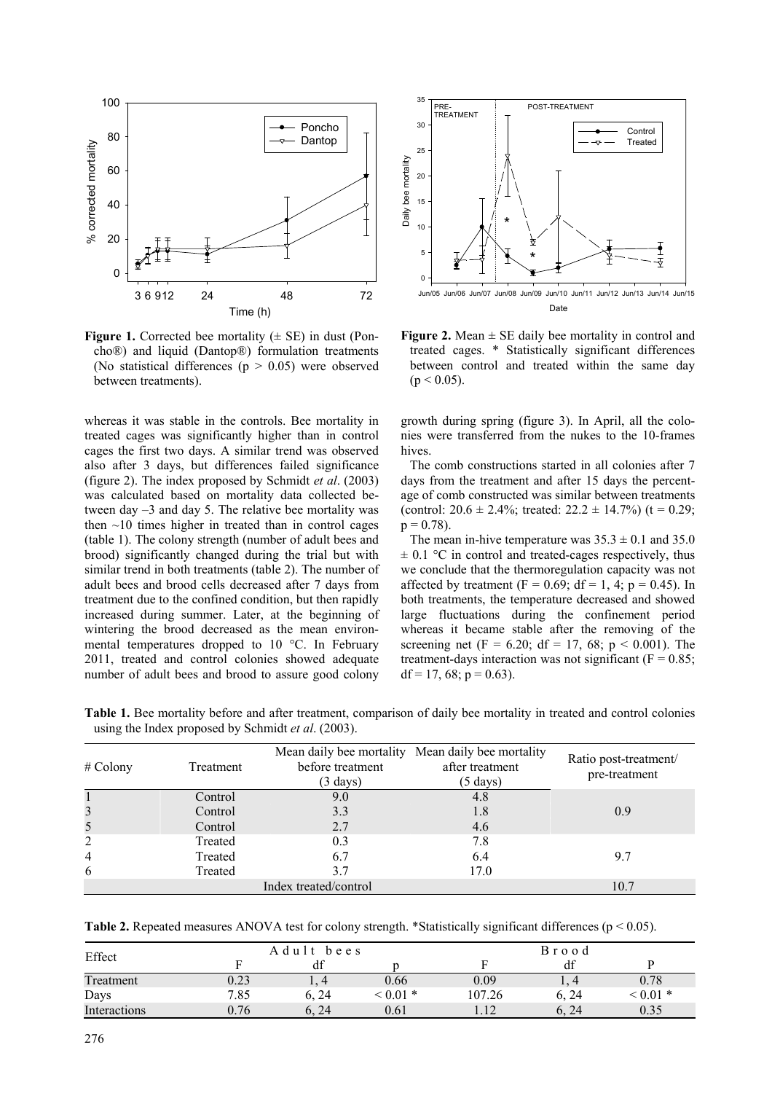

**Figure 1.** Corrected bee mortality  $(\pm \text{ SE})$  in dust (Poncho®) and liquid (Dantop®) formulation treatments (No statistical differences  $(p > 0.05)$  were observed between treatments).

whereas it was stable in the controls. Bee mortality in treated cages was significantly higher than in control cages the first two days. A similar trend was observed also after 3 days, but differences failed significance (figure 2). The index proposed by Schmidt *et al*. (2003) was calculated based on mortality data collected between day –3 and day 5. The relative bee mortality was then  $\sim$ 10 times higher in treated than in control cages (table 1). The colony strength (number of adult bees and brood) significantly changed during the trial but with similar trend in both treatments (table 2). The number of adult bees and brood cells decreased after 7 days from treatment due to the confined condition, but then rapidly increased during summer. Later, at the beginning of wintering the brood decreased as the mean environmental temperatures dropped to 10 °C. In February 2011, treated and control colonies showed adequate number of adult bees and brood to assure good colony



**Figure 2.** Mean  $\pm$  SE daily bee mortality in control and treated cages. \* Statistically significant differences between control and treated within the same day  $(p < 0.05)$ .

growth during spring (figure 3). In April, all the colonies were transferred from the nukes to the 10-frames hives.

The comb constructions started in all colonies after 7 days from the treatment and after 15 days the percentage of comb constructed was similar between treatments (control:  $20.6 \pm 2.4\%$ ; treated:  $22.2 \pm 14.7\%$ ) (t = 0.29;  $p = 0.78$ ).

The mean in-hive temperature was  $35.3 \pm 0.1$  and  $35.0$  $\pm$  0.1 °C in control and treated-cages respectively, thus we conclude that the thermoregulation capacity was not affected by treatment ( $F = 0.69$ ; df = 1, 4; p = 0.45). In both treatments, the temperature decreased and showed large fluctuations during the confinement period whereas it became stable after the removing of the screening net (F = 6.20; df = 17, 68; p < 0.001). The treatment-days interaction was not significant ( $F = 0.85$ ;  $df = 17, 68; p = 0.63$ ).

| # Colony | Treatment | before treatment<br>$(3 \text{ days})$ | Mean daily bee mortality Mean daily bee mortality<br>after treatment<br>$(5 \text{ days})$ | Ratio post-treatment/<br>pre-treatment |
|----------|-----------|----------------------------------------|--------------------------------------------------------------------------------------------|----------------------------------------|
|          | Control   | 9.0                                    | 4.8                                                                                        |                                        |
| 3        | Control   | 3.3                                    | 1.8                                                                                        | 0.9                                    |
| 5        | Control   | 2.7                                    | 4.6                                                                                        |                                        |
| 2        | Treated   | 0.3                                    | 7.8                                                                                        |                                        |
| 4        | Treated   | 6.7                                    | 6.4                                                                                        | 9.7                                    |
| 6        | Treated   | 37                                     | 17.0                                                                                       |                                        |
|          | 10.7      |                                        |                                                                                            |                                        |

**Table 1.** Bee mortality before and after treatment, comparison of daily bee mortality in treated and control colonies using the Index proposed by Schmidt *et al*. (2003).

|  | <b>Table 2.</b> Repeated measures ANOVA test for colony strength. *Statistically significant differences ( $p < 0.05$ ). |  |  |  |  |  |  |  |
|--|--------------------------------------------------------------------------------------------------------------------------|--|--|--|--|--|--|--|
|--|--------------------------------------------------------------------------------------------------------------------------|--|--|--|--|--|--|--|

| Effect       |      | Adult<br>bees |         |        | Brood                     |         |
|--------------|------|---------------|---------|--------|---------------------------|---------|
|              |      | df            |         |        |                           |         |
| Treatment    | 0.23 |               | 0.66    | 0.09   | $\overline{4}$<br>$\pm$ . | 0.78    |
| Days         | 7.85 | 6. 24         | $0.01*$ | 107.26 | 6, 24                     | $0.01*$ |
| Interactions | 0.76 | 24            | 0.61    |        | 6.24                      | 0.35    |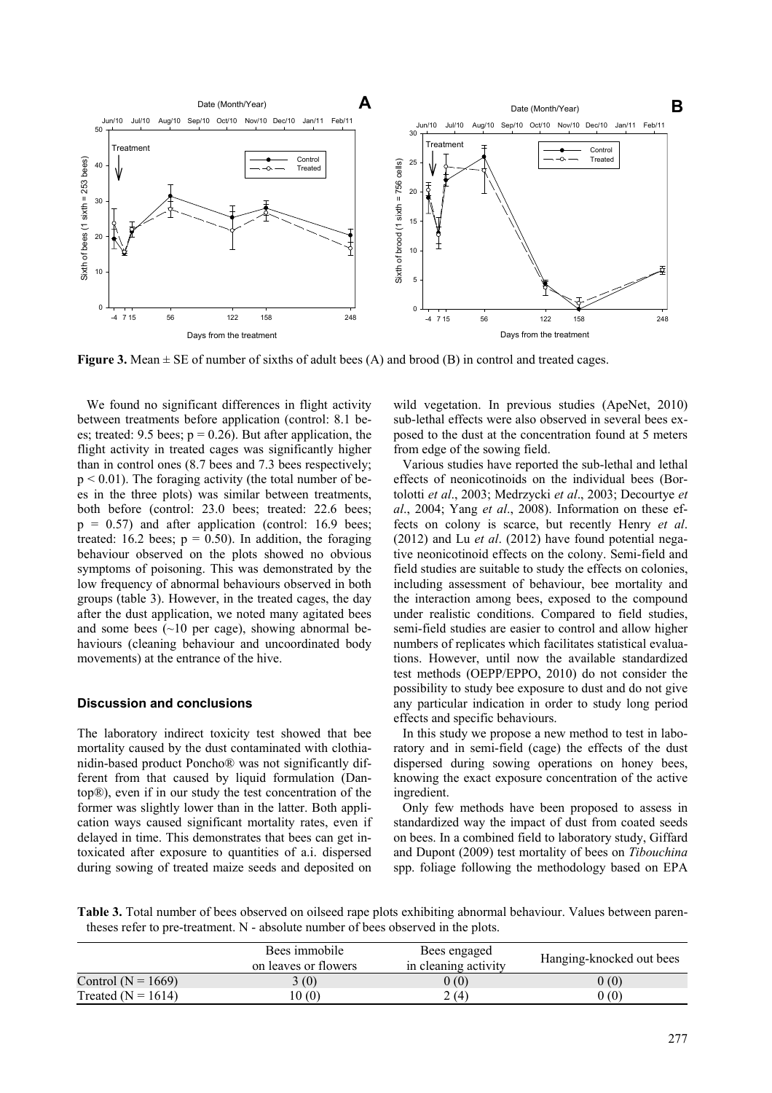

**Figure 3.** Mean  $\pm$  SE of number of sixths of adult bees (A) and brood (B) in control and treated cages.

We found no significant differences in flight activity between treatments before application (control: 8.1 bees; treated: 9.5 bees;  $p = 0.26$ ). But after application, the flight activity in treated cages was significantly higher than in control ones (8.7 bees and 7.3 bees respectively;  $p < 0.01$ ). The foraging activity (the total number of bees in the three plots) was similar between treatments, both before (control: 23.0 bees; treated: 22.6 bees;  $p = 0.57$ ) and after application (control: 16.9 bees; treated: 16.2 bees;  $p = 0.50$ ). In addition, the foraging behaviour observed on the plots showed no obvious symptoms of poisoning. This was demonstrated by the low frequency of abnormal behaviours observed in both groups (table 3). However, in the treated cages, the day after the dust application, we noted many agitated bees and some bees  $(\sim 10$  per cage), showing abnormal behaviours (cleaning behaviour and uncoordinated body movements) at the entrance of the hive.

## **Discussion and conclusions**

The laboratory indirect toxicity test showed that bee mortality caused by the dust contaminated with clothianidin-based product Poncho® was not significantly different from that caused by liquid formulation (Dantop®), even if in our study the test concentration of the former was slightly lower than in the latter. Both application ways caused significant mortality rates, even if delayed in time. This demonstrates that bees can get intoxicated after exposure to quantities of a.i. dispersed during sowing of treated maize seeds and deposited on

wild vegetation. In previous studies (ApeNet, 2010) sub-lethal effects were also observed in several bees exposed to the dust at the concentration found at 5 meters from edge of the sowing field.

Various studies have reported the sub-lethal and lethal effects of neonicotinoids on the individual bees (Bortolotti *et al*., 2003; Medrzycki *et al*., 2003; Decourtye *et al*., 2004; Yang *et al*., 2008). Information on these effects on colony is scarce, but recently Henry *et al*. (2012) and Lu *et al*. (2012) have found potential negative neonicotinoid effects on the colony. Semi-field and field studies are suitable to study the effects on colonies, including assessment of behaviour, bee mortality and the interaction among bees, exposed to the compound under realistic conditions. Compared to field studies, semi-field studies are easier to control and allow higher numbers of replicates which facilitates statistical evaluations. However, until now the available standardized test methods (OEPP/EPPO, 2010) do not consider the possibility to study bee exposure to dust and do not give any particular indication in order to study long period effects and specific behaviours.

In this study we propose a new method to test in laboratory and in semi-field (cage) the effects of the dust dispersed during sowing operations on honey bees, knowing the exact exposure concentration of the active ingredient.

Only few methods have been proposed to assess in standardized way the impact of dust from coated seeds on bees. In a combined field to laboratory study, Giffard and Dupont (2009) test mortality of bees on *Tibouchina* spp. foliage following the methodology based on EPA

**Table 3.** Total number of bees observed on oilseed rape plots exhibiting abnormal behaviour. Values between parentheses refer to pre-treatment. N - absolute number of bees observed in the plots.

|                        | Bees immobile<br>on leaves or flowers | Bees engaged<br>in cleaning activity | Hanging-knocked out bees |
|------------------------|---------------------------------------|--------------------------------------|--------------------------|
| Control ( $N = 1669$ ) | 3(0)                                  | 0(0)                                 | 0(0)                     |
| Treated ( $N = 1614$ ) | (0(0)                                 | 2(4)                                 | 0(0)                     |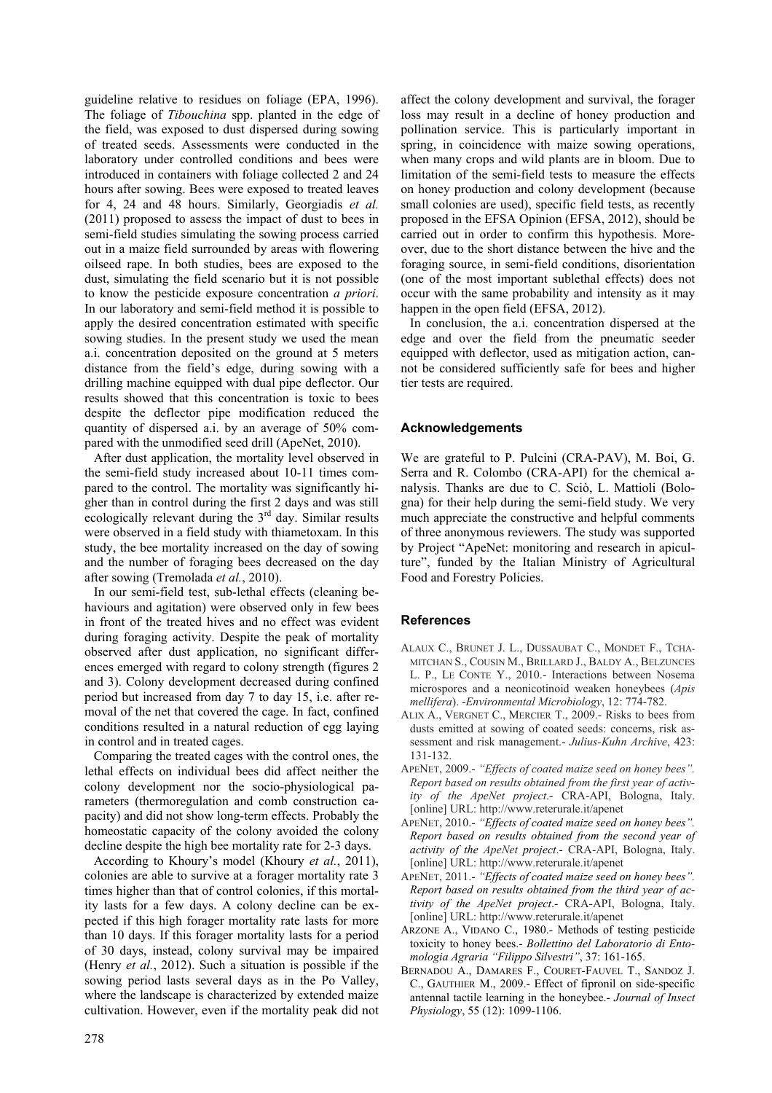guideline relative to residues on foliage (EPA, 1996). The foliage of *Tibouchina* spp. planted in the edge of the field, was exposed to dust dispersed during sowing of treated seeds. Assessments were conducted in the laboratory under controlled conditions and bees were introduced in containers with foliage collected 2 and 24 hours after sowing. Bees were exposed to treated leaves for 4, 24 and 48 hours. Similarly, Georgiadis *et al.* (2011) proposed to assess the impact of dust to bees in semi-field studies simulating the sowing process carried out in a maize field surrounded by areas with flowering oilseed rape. In both studies, bees are exposed to the dust, simulating the field scenario but it is not possible to know the pesticide exposure concentration *a priori*. In our laboratory and semi-field method it is possible to apply the desired concentration estimated with specific sowing studies. In the present study we used the mean a.i. concentration deposited on the ground at 5 meters distance from the field's edge, during sowing with a drilling machine equipped with dual pipe deflector. Our results showed that this concentration is toxic to bees despite the deflector pipe modification reduced the quantity of dispersed a.i. by an average of 50% compared with the unmodified seed drill (ApeNet, 2010).

After dust application, the mortality level observed in the semi-field study increased about 10-11 times compared to the control. The mortality was significantly higher than in control during the first 2 days and was still ecologically relevant during the  $3<sup>rd</sup>$  day. Similar results were observed in a field study with thiametoxam. In this study, the bee mortality increased on the day of sowing and the number of foraging bees decreased on the day after sowing (Tremolada *et al.*, 2010).

In our semi-field test, sub-lethal effects (cleaning behaviours and agitation) were observed only in few bees in front of the treated hives and no effect was evident during foraging activity. Despite the peak of mortality observed after dust application, no significant differences emerged with regard to colony strength (figures 2 and 3). Colony development decreased during confined period but increased from day 7 to day 15, i.e. after removal of the net that covered the cage. In fact, confined conditions resulted in a natural reduction of egg laying in control and in treated cages.

Comparing the treated cages with the control ones, the lethal effects on individual bees did affect neither the colony development nor the socio-physiological parameters (thermoregulation and comb construction capacity) and did not show long-term effects. Probably the homeostatic capacity of the colony avoided the colony decline despite the high bee mortality rate for 2-3 days.

According to Khoury's model (Khoury *et al.*, 2011), colonies are able to survive at a forager mortality rate 3 times higher than that of control colonies, if this mortality lasts for a few days. A colony decline can be expected if this high forager mortality rate lasts for more than 10 days. If this forager mortality lasts for a period of 30 days, instead, colony survival may be impaired (Henry *et al.*, 2012). Such a situation is possible if the sowing period lasts several days as in the Po Valley, where the landscape is characterized by extended maize cultivation. However, even if the mortality peak did not affect the colony development and survival, the forager loss may result in a decline of honey production and pollination service. This is particularly important in spring, in coincidence with maize sowing operations, when many crops and wild plants are in bloom. Due to limitation of the semi-field tests to measure the effects on honey production and colony development (because small colonies are used), specific field tests, as recently proposed in the EFSA Opinion (EFSA, 2012), should be carried out in order to confirm this hypothesis. Moreover, due to the short distance between the hive and the foraging source, in semi-field conditions, disorientation (one of the most important sublethal effects) does not occur with the same probability and intensity as it may happen in the open field (EFSA, 2012).

In conclusion, the a.i. concentration dispersed at the edge and over the field from the pneumatic seeder equipped with deflector, used as mitigation action, cannot be considered sufficiently safe for bees and higher tier tests are required.

# **Acknowledgements**

We are grateful to P. Pulcini (CRA-PAV), M. Boi, G. Serra and R. Colombo (CRA-API) for the chemical analysis. Thanks are due to C. Sciò, L. Mattioli (Bologna) for their help during the semi-field study. We very much appreciate the constructive and helpful comments of three anonymous reviewers. The study was supported by Project "ApeNet: monitoring and research in apiculture", funded by the Italian Ministry of Agricultural Food and Forestry Policies.

## **References**

- ALAUX C., BRUNET J. L., DUSSAUBAT C., MONDET F., TCHA-MITCHAN S., COUSIN M., BRILLARD J., BALDY A., BELZUNCES L. P., LE CONTE Y., 2010.- Interactions between Nosema microspores and a neonicotinoid weaken honeybees (*Apis mellifera*). -*Environmental Microbiology*, 12: 774-782.
- ALIX A., VERGNET C., MERCIER T., 2009.- Risks to bees from dusts emitted at sowing of coated seeds: concerns, risk assessment and risk management.- *Julius-Kuhn Archive*, 423: 131-132.
- APENET, 2009.- *"Effects of coated maize seed on honey bees". Report based on results obtained from the first year of activity of the ApeNet project*.- CRA-API, Bologna, Italy. [online] URL: http://www.reterurale.it/apenet
- APENET, 2010.- *"Effects of coated maize seed on honey bees". Report based on results obtained from the second year of activity of the ApeNet project*.- CRA-API, Bologna, Italy. [online] URL: http://www.reterurale.it/apenet
- APENET, 2011.- *"Effects of coated maize seed on honey bees". Report based on results obtained from the third year of activity of the ApeNet project*.- CRA-API, Bologna, Italy. [online] URL: http://www.reterurale.it/apenet
- ARZONE A., VIDANO C., 1980.- Methods of testing pesticide toxicity to honey bees.- *Bollettino del Laboratorio di Entomologia Agraria "Filippo Silvestri"*, 37: 161-165.
- BERNADOU A., DAMARES F., COURET-FAUVEL T., SANDOZ J. C., GAUTHIER M., 2009.- Effect of fipronil on side-specific antennal tactile learning in the honeybee.- *Journal of Insect Physiology*, 55 (12): 1099-1106.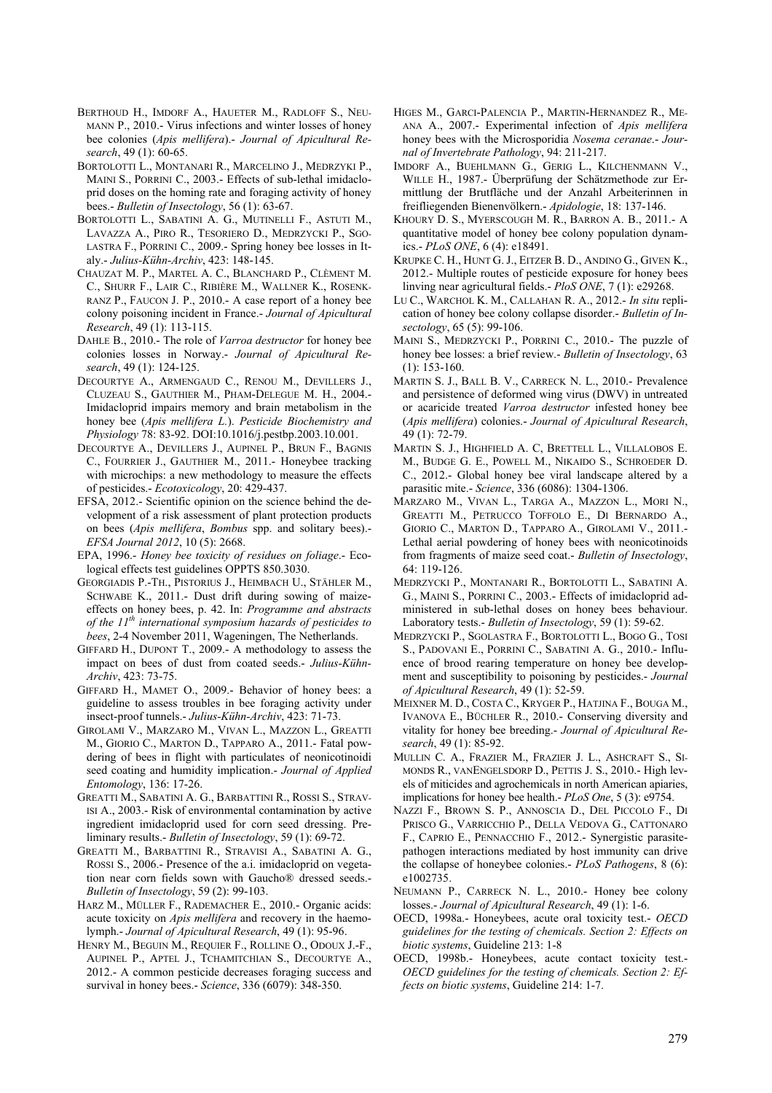- BERTHOUD H., IMDORF A., HAUETER M., RADLOFF S., NEU-MANN P., 2010.- Virus infections and winter losses of honey bee colonies (*Apis mellifera*).- *Journal of Apicultural Research*, 49 (1): 60-65.
- BORTOLOTTI L., MONTANARI R., MARCELINO J., MEDRZYKI P., MAINI S., PORRINI C., 2003.- Effects of sub-lethal imidacloprid doses on the homing rate and foraging activity of honey bees.- *Bulletin of Insectology*, 56 (1): 63-67.
- BORTOLOTTI L., SABATINI A. G., MUTINELLI F., ASTUTI M., LAVAZZA A., PIRO R., TESORIERO D., MEDRZYCKI P., SGO-LASTRA F., PORRINI C., 2009.- Spring honey bee losses in Italy.- *Julius-Kühn-Archiv*, 423: 148-145.
- CHAUZAT M. P., MARTEL A. C., BLANCHARD P., CLÈMENT M. C., SHURR F., LAIR C., RIBIÈRE M., WALLNER K., ROSENK-RANZ P., FAUCON J. P., 2010.- A case report of a honey bee colony poisoning incident in France.- *Journal of Apicultural Research*, 49 (1): 113-115.
- DAHLE B., 2010.- The role of *Varroa destructor* for honey bee colonies losses in Norway.- *Journal of Apicultural Research*, 49 (1): 124-125.
- DECOURTYE A., ARMENGAUD C., RENOU M., DEVILLERS J., CLUZEAU S., GAUTHIER M., PHAM-DELEGUE M. H., 2004.- Imidacloprid impairs memory and brain metabolism in the honey bee (*Apis mellifera L.*). *Pesticide Biochemistry and Physiology* 78: 83-92. DOI:10.1016/j.pestbp.2003.10.001.
- DECOURTYE A., DEVILLERS J., AUPINEL P., BRUN F., BAGNIS C., FOURRIER J., GAUTHIER M., 2011.- Honeybee tracking with microchips: a new methodology to measure the effects of pesticides.- *Ecotoxicology*, 20: 429-437.
- EFSA, 2012.- Scientific opinion on the science behind the development of a risk assessment of plant protection products on bees (*Apis mellifera*, *Bombus* spp. and solitary bees).- *EFSA Journal 2012*, 10 (5): 2668.
- EPA, 1996.- *Honey bee toxicity of residues on foliage*.- Ecological effects test guidelines OPPTS 850.3030.
- GEORGIADIS P.-TH., PISTORIUS J., HEIMBACH U., STÄHLER M., SCHWABE K., 2011.- Dust drift during sowing of maizeeffects on honey bees, p. 42. In: *Programme and abstracts of the 11th international symposium hazards of pesticides to bees*, 2-4 November 2011, Wageningen, The Netherlands.
- GIFFARD H., DUPONT T., 2009.- A methodology to assess the impact on bees of dust from coated seeds.- *Julius-Kühn-Archiv*, 423: 73-75.
- GIFFARD H., MAMET O., 2009.- Behavior of honey bees: a guideline to assess troubles in bee foraging activity under insect-proof tunnels.- *Julius-Kühn-Archiv*, 423: 71-73.
- GIROLAMI V., MARZARO M., VIVAN L., MAZZON L., GREATTI M., GIORIO C., MARTON D., TAPPARO A., 2011.- Fatal powdering of bees in flight with particulates of neonicotinoidi seed coating and humidity implication.- *Journal of Applied Entomology*, 136: 17-26.
- GREATTI M., SABATINI A. G., BARBATTINI R., ROSSI S., STRAV-ISI A., 2003.- Risk of environmental contamination by active ingredient imidacloprid used for corn seed dressing. Preliminary results.- *Bulletin of Insectology*, 59 (1): 69-72.
- GREATTI M., BARBATTINI R., STRAVISI A., SABATINI A. G., ROSSI S., 2006.- Presence of the a.i. imidacloprid on vegetation near corn fields sown with Gaucho® dressed seeds.- *Bulletin of Insectology*, 59 (2): 99-103.
- HARZ M., MÜLLER F., RADEMACHER E., 2010.- Organic acids: acute toxicity on *Apis mellifera* and recovery in the haemolymph.- *Journal of Apicultural Research*, 49 (1): 95-96.
- HENRY M., BEGUIN M., REQUIER F., ROLLINE O., ODOUX J.-F., AUPINEL P., APTEL J., TCHAMITCHIAN S., DECOURTYE A., 2012.- A common pesticide decreases foraging success and survival in honey bees.- *Science*, 336 (6079): 348-350.
- HIGES M., GARCI-PALENCIA P., MARTIN-HERNANDEZ R., ME-ANA A., 2007.- Experimental infection of *Apis mellifera* honey bees with the Microsporidia *Nosema ceranae*.- *Journal of Invertebrate Pathology*, 94: 211-217.
- IMDORF A., BUEHLMANN G., GERIG L., KILCHENMANN V., WILLE H., 1987.- Überprüfung der Schätzmethode zur Ermittlung der Brutfläche und der Anzahl Arbeiterinnen in freifliegenden Bienenvölkern.- *Apidologie*, 18: 137-146.
- KHOURY D. S., MYERSCOUGH M. R., BARRON A. B., 2011.- A quantitative model of honey bee colony population dynamics.- *PLoS ONE*, 6 (4): e18491.
- KRUPKE C. H., HUNT G. J., EITZER B. D., ANDINO G., GIVEN K., 2012.- Multiple routes of pesticide exposure for honey bees linving near agricultural fields.- *PloS ONE*, 7 (1): e29268.
- LU C., WARCHOL K. M., CALLAHAN R. A., 2012.- *In situ* replication of honey bee colony collapse disorder.- *Bulletin of Insectology*, 65 (5): 99-106.
- MAINI S., MEDRZYCKI P., PORRINI C., 2010.- The puzzle of honey bee losses: a brief review.- *Bulletin of Insectology*, 63  $(1)$ : 153-160.
- MARTIN S. J., BALL B. V., CARRECK N. L., 2010.- Prevalence and persistence of deformed wing virus (DWV) in untreated or acaricide treated *Varroa destructor* infested honey bee (*Apis mellifera*) colonies.- *Journal of Apicultural Research*, 49 (1): 72-79.
- MARTIN S. J., HIGHFIELD A. C, BRETTELL L., VILLALOBOS E. M., BUDGE G. E., POWELL M., NIKAIDO S., SCHROEDER D. C., 2012.- Global honey bee viral landscape altered by a parasitic mite.- *Science*, 336 (6086): 1304-1306.
- MARZARO M., VIVAN L., TARGA A., MAZZON L., MORI N., GREATTI M., PETRUCCO TOFFOLO E., DI BERNARDO A., GIORIO C., MARTON D., TAPPARO A., GIROLAMI V., 2011.- Lethal aerial powdering of honey bees with neonicotinoids from fragments of maize seed coat.- *Bulletin of Insectology*,  $64 \cdot 119 - 126$
- MEDRZYCKI P., MONTANARI R., BORTOLOTTI L., SABATINI A. G., MAINI S., PORRINI C., 2003.- Effects of imidacloprid administered in sub-lethal doses on honey bees behaviour. Laboratory tests.- *Bulletin of Insectology*, 59 (1): 59-62.
- MEDRZYCKI P., SGOLASTRA F., BORTOLOTTI L., BOGO G., TOSI S., PADOVANI E., PORRINI C., SABATINI A. G., 2010.- Influence of brood rearing temperature on honey bee development and susceptibility to poisoning by pesticides.- *Journal of Apicultural Research*, 49 (1): 52-59.
- MEIXNER M. D., COSTA C., KRYGER P., HATJINA F., BOUGA M., IVANOVA E., BÜCHLER R., 2010.- Conserving diversity and vitality for honey bee breeding.- *Journal of Apicultural Research*, 49 (1): 85-92.
- MULLIN C. A., FRAZIER M., FRAZIER J. L., ASHCRAFT S., SI-MONDS R., VANENGELSDORP D., PETTIS J. S., 2010.- High levels of miticides and agrochemicals in north American apiaries, implications for honey bee health.- *PLoS One*, 5 (3): e9754.
- NAZZI F., BROWN S. P., ANNOSCIA D., DEL PICCOLO F., DI PRISCO G., VARRICCHIO P., DELLA VEDOVA G., CATTONARO F., CAPRIO E., PENNACCHIO F., 2012.- Synergistic parasitepathogen interactions mediated by host immunity can drive the collapse of honeybee colonies.- *PLoS Pathogens*, 8 (6): e1002735.
- NEUMANN P., CARRECK N. L., 2010.- Honey bee colony losses.- *Journal of Apicultural Research*, 49 (1): 1-6.
- OECD, 1998a.- Honeybees, acute oral toxicity test.- *OECD guidelines for the testing of chemicals. Section 2: Effects on biotic systems*, Guideline 213: 1-8
- OECD, 1998b.- Honeybees, acute contact toxicity test.- *OECD guidelines for the testing of chemicals. Section 2: Effects on biotic systems*, Guideline 214: 1-7.